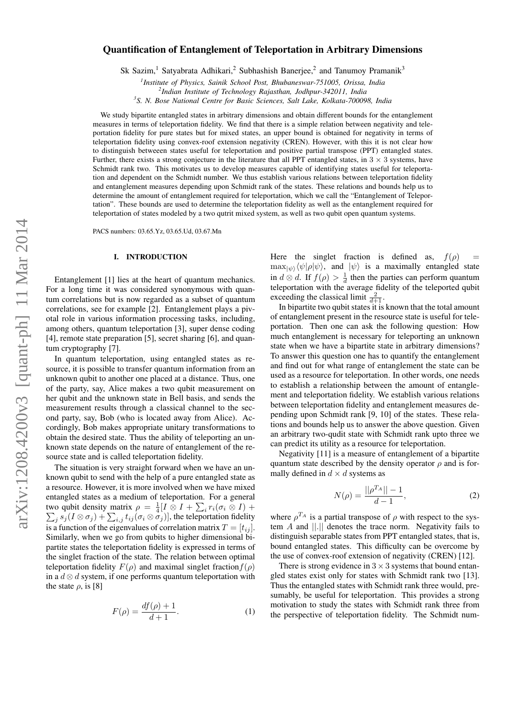# Quantification of Entanglement of Teleportation in Arbitrary Dimensions

Sk Sazim,<sup>1</sup> Satyabrata Adhikari,<sup>2</sup> Subhashish Banerjee,<sup>2</sup> and Tanumoy Pramanik<sup>3</sup>

*1 Institute of Physics, Sainik School Post, Bhubaneswar-751005, Orissa, India*

*2 Indian Institute of Technology Rajasthan, Jodhpur-342011, India*

*3 S. N. Bose National Centre for Basic Sciences, Salt Lake, Kolkata-700098, India*

We study bipartite entangled states in arbitrary dimensions and obtain different bounds for the entanglement measures in terms of teleportation fidelity. We find that there is a simple relation between negativity and teleportation fidelity for pure states but for mixed states, an upper bound is obtained for negativity in terms of teleportation fidelity using convex-roof extension negativity (CREN). However, with this it is not clear how to distinguish betweeen states useful for teleportation and positive partial transpose (PPT) entangled states. Further, there exists a strong conjecture in the literature that all PPT entangled states, in  $3 \times 3$  systems, have Schmidt rank two. This motivates us to develop measures capable of identifying states useful for teleportation and dependent on the Schmidt number. We thus establish various relations between teleportation fidelity and entanglement measures depending upon Schmidt rank of the states. These relations and bounds help us to determine the amount of entanglement required for teleportation, which we call the "Entanglement of Teleportation". These bounds are used to determine the teleportation fidelity as well as the entanglement required for teleportation of states modeled by a two qutrit mixed system, as well as two qubit open quantum systems.

PACS numbers: 03.65.Yz, 03.65.Ud, 03.67.Mn

# I. INTRODUCTION

Entanglement [1] lies at the heart of quantum mechanics. For a long time it was considered synonymous with quantum correlations but is now regarded as a subset of quantum correlations, see for example [2]. Entanglement plays a pivotal role in various information processing tasks, including, among others, quantum teleportation [3], super dense coding [4], remote state preparation [5], secret sharing [6], and quantum cryptography [7].

In quantum teleportation, using entangled states as resource, it is possible to transfer quantum information from an unknown qubit to another one placed at a distance. Thus, one of the party, say, Alice makes a two qubit measurement on her qubit and the unknown state in Bell basis, and sends the measurement results through a classical channel to the second party, say, Bob (who is located away from Alice). Accordingly, Bob makes appropriate unitary transformations to obtain the desired state. Thus the ability of teleporting an unknown state depends on the nature of entanglement of the resource state and is called teleportation fidelity.

The situation is very straight forward when we have an unknown qubit to send with the help of a pure entangled state as a resource. However, it is more involved when we have mixed entangled states as a medium of teleportation. For a general two qubit density matrix  $\rho = \frac{1}{4} [I \otimes I + \sum_i$ <br>  $\sum_i s_i (I \otimes \sigma_i) + \sum_i i_i (\sigma_i \otimes \sigma_i) ]$ , the telepo  $r_i(\sigma_i \otimes I) +$  $_j s_j (I \otimes \sigma_j) + \sum_{i,j} t_{ij} (\sigma_i \otimes \sigma_j)],$  the teleportation fidelity is a function of the eigenvalues of correlation matrix  $T = [t_{ij}]$ . Similarly, when we go from qubits to higher dimensional bipartite states the teleportation fidelity is expressed in terms of the singlet fraction of the state. The relation between optimal teleportation fidelity  $F(\rho)$  and maximal singlet fraction  $f(\rho)$ in a  $d \otimes d$  system, if one performs quantum teleportation with the state  $\rho$ , is [8]

$$
F(\rho) = \frac{df(\rho) + 1}{d + 1}.\tag{1}
$$

Here the singlet fraction is defined as,  $f(\rho)$  $\max_{| \psi \rangle} \langle \psi | \rho | \psi \rangle$ , and  $| \psi \rangle$  is a maximally entangled state in  $d \otimes d$ . If  $f(\rho) > \frac{1}{d}$  then the parties can perform quantum teleportation with the average fidelity of the teleported qubit exceeding the classical limit  $\frac{2}{d+1}$ .

In bipartite two qubit states it is known that the total amount of entanglement present in the resource state is useful for teleportation. Then one can ask the following question: How much entanglement is necessary for teleporting an unknown state when we have a bipartite state in arbitrary dimensions? To answer this question one has to quantify the entanglement and find out for what range of entanglement the state can be used as a resource for teleportation. In other words, one needs to establish a relationship between the amount of entanglement and teleportation fidelity. We establish various relations between teleportation fidelity and entanglement measures depending upon Schmidt rank [9, 10] of the states. These relations and bounds help us to answer the above question. Given an arbitrary two-qudit state with Schmidt rank upto three we can predict its utility as a resource for teleportation.

Negativity [11] is a measure of entanglement of a bipartite quantum state described by the density operator  $\rho$  and is formally defined in  $d \times d$  systems as

$$
N(\rho) = \frac{||\rho^{T_A}|| - 1}{d - 1},
$$
\n(2)

where  $\rho^{T_A}$  is a partial transpose of  $\rho$  with respect to the system A and ||.|| denotes the trace norm. Negativity fails to distinguish separable states from PPT entangled states, that is, bound entangled states. This difficulty can be overcome by the use of convex-roof extension of negativity (CREN) [12].

There is strong evidence in  $3 \times 3$  systems that bound entangled states exist only for states with Schmidt rank two [13]. Thus the entangled states with Schmidt rank three would, presumably, be useful for teleportation. This provides a strong motivation to study the states with Schmidt rank three from the perspective of teleportation fidelity. The Schmidt num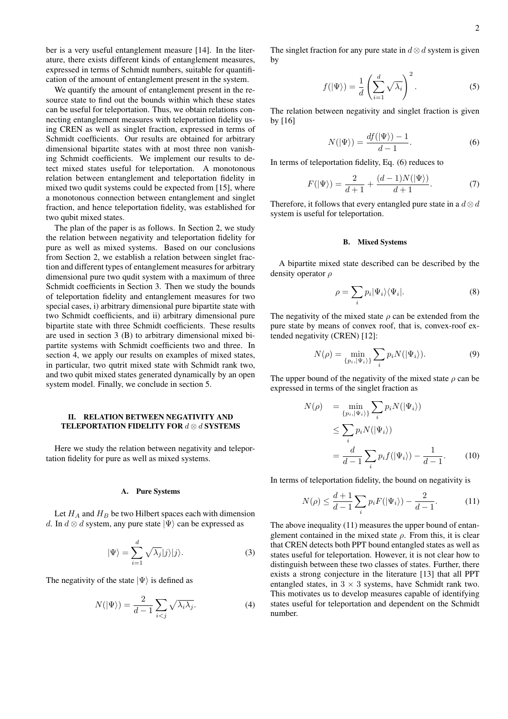ber is a very useful entanglement measure [14]. In the literature, there exists different kinds of entanglement measures, expressed in terms of Schmidt numbers, suitable for quantification of the amount of entanglement present in the system.

We quantify the amount of entanglement present in the resource state to find out the bounds within which these states can be useful for teleportation. Thus, we obtain relations connecting entanglement measures with teleportation fidelity using CREN as well as singlet fraction, expressed in terms of Schmidt coefficients. Our results are obtained for arbitrary dimensional bipartite states with at most three non vanishing Schmidt coefficients. We implement our results to detect mixed states useful for teleportation. A monotonous relation between entanglement and teleportation fidelity in mixed two qudit systems could be expected from [15], where a monotonous connection between entanglement and singlet fraction, and hence teleportation fidelity, was established for two qubit mixed states.

The plan of the paper is as follows. In Section 2, we study the relation between negativity and teleportation fidelity for pure as well as mixed systems. Based on our conclusions from Section 2, we establish a relation between singlet fraction and different types of entanglement measures for arbitrary dimensional pure two qudit system with a maximum of three Schmidt coefficients in Section 3. Then we study the bounds of teleportation fidelity and entanglement measures for two special cases, i) arbitrary dimensional pure bipartite state with two Schmidt coefficients, and ii) arbitrary dimensional pure bipartite state with three Schmidt coefficients. These results are used in section 3 (B) to arbitrary dimensional mixed bipartite systems with Schmidt coefficients two and three. In section 4, we apply our results on examples of mixed states, in particular, two qutrit mixed state with Schmidt rank two, and two qubit mixed states generated dynamically by an open system model. Finally, we conclude in section 5.

## II. RELATION BETWEEN NEGATIVITY AND TELEPORTATION FIDELITY FOR  $d \otimes d$  SYSTEMS

Here we study the relation between negativity and teleportation fidelity for pure as well as mixed systems.

#### A. Pure Systems

Let  $H_A$  and  $H_B$  be two Hilbert spaces each with dimension d. In  $d \otimes d$  system, any pure state  $|\Psi\rangle$  can be expressed as

$$
|\Psi\rangle = \sum_{i=1}^{d} \sqrt{\lambda_j} |j\rangle |j\rangle.
$$
 (3)

The negativity of the state  $|\Psi\rangle$  is defined as

$$
N(|\Psi\rangle) = \frac{2}{d-1} \sum_{i < j} \sqrt{\lambda_i \lambda_j}.\tag{4}
$$

The singlet fraction for any pure state in  $d \otimes d$  system is given by

$$
f(|\Psi\rangle) = \frac{1}{d} \left( \sum_{i=1}^{d} \sqrt{\lambda_i} \right)^2.
$$
 (5)

The relation between negativity and singlet fraction is given by [16]

$$
N(|\Psi\rangle) = \frac{df(|\Psi\rangle) - 1}{d - 1}.
$$
 (6)

In terms of teleportation fidelity, Eq. (6) reduces to

$$
F(|\Psi\rangle) = \frac{2}{d+1} + \frac{(d-1)N(|\Psi\rangle)}{d+1}.
$$
 (7)

Therefore, it follows that every entangled pure state in a  $d \otimes d$ system is useful for teleportation.

## B. Mixed Systems

A bipartite mixed state described can be described by the density operator  $\rho$ 

$$
\rho = \sum_{i} p_i |\Psi_i\rangle\langle\Psi_i|.\tag{8}
$$

The negativity of the mixed state  $\rho$  can be extended from the pure state by means of convex roof, that is, convex-roof extended negativity (CREN) [12]:

$$
N(\rho) = \min_{\{p_i, |\Psi_i\rangle\}} \sum_i p_i N(|\Psi_i\rangle). \tag{9}
$$

The upper bound of the negativity of the mixed state  $\rho$  can be expressed in terms of the singlet fraction as

$$
N(\rho) = \min_{\{p_i, |\Psi_i\rangle\}} \sum_i p_i N(|\Psi_i\rangle)
$$
  
\n
$$
\leq \sum_i p_i N(|\Psi_i\rangle)
$$
  
\n
$$
= \frac{d}{d-1} \sum_i p_i f(|\Psi_i\rangle) - \frac{1}{d-1}.
$$
 (10)

In terms of teleportation fidelity, the bound on negativity is

$$
N(\rho) \le \frac{d+1}{d-1} \sum_{i} p_i F(|\Psi_i\rangle) - \frac{2}{d-1}.
$$
 (11)

The above inequality (11) measures the upper bound of entanglement contained in the mixed state  $\rho$ . From this, it is clear that CREN detects both PPT bound entangled states as well as states useful for teleportation. However, it is not clear how to distinguish between these two classes of states. Further, there exists a strong conjecture in the literature [13] that all PPT entangled states, in  $3 \times 3$  systems, have Schmidt rank two. This motivates us to develop measures capable of identifying states useful for teleportation and dependent on the Schmidt number.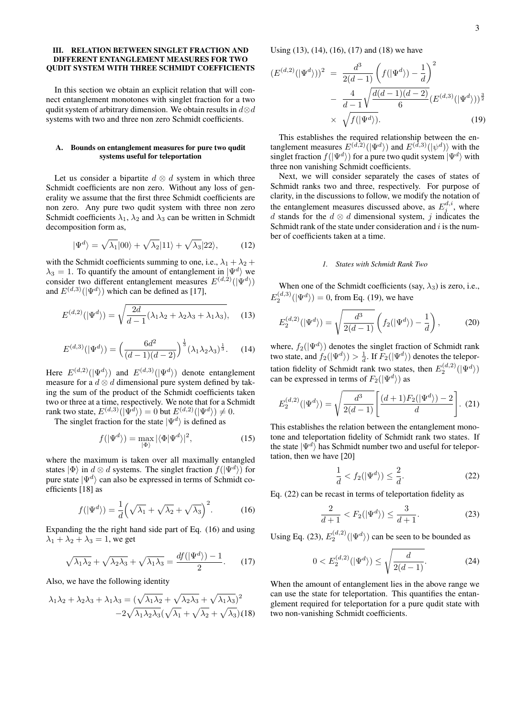# III. RELATION BETWEEN SINGLET FRACTION AND DIFFERENT ENTANGLEMENT MEASURES FOR TWO QUDIT SYSTEM WITH THREE SCHMIDT COEFFICIENTS

In this section we obtain an explicit relation that will connect entanglement monotones with singlet fraction for a two qudit system of arbitrary dimension. We obtain results in  $d \otimes d$ systems with two and three non zero Schmidt coefficients.

## A. Bounds on entanglement measures for pure two qudit systems useful for teleportation

Let us consider a bipartite  $d \otimes d$  system in which three Schmidt coefficients are non zero. Without any loss of generality we assume that the first three Schmidt coefficients are non zero. Any pure two qudit system with three non zero Schmidt coefficients  $\lambda_1$ ,  $\lambda_2$  and  $\lambda_3$  can be written in Schmidt decomposition form as,

$$
|\Psi^d\rangle = \sqrt{\lambda_1}|00\rangle + \sqrt{\lambda_2}|11\rangle + \sqrt{\lambda_3}|22\rangle, \tag{12}
$$

with the Schmidt coefficients summing to one, i.e.,  $\lambda_1 + \lambda_2 + \lambda_3$  $\lambda_3 = 1$ . To quantify the amount of entanglement in  $|\Psi^d\rangle$  we consider two different entanglement measures  $E^{(d,2)}(|\Psi^d\rangle)$ and  $E^{(d,3)}(|\Psi^d\rangle)$  which can be defined as [17],

$$
E^{(d,2)}(|\Psi^d\rangle) = \sqrt{\frac{2d}{d-1}(\lambda_1\lambda_2 + \lambda_2\lambda_3 + \lambda_1\lambda_3)},\quad (13)
$$

$$
E^{(d,3)}(|\Psi^d\rangle) = \left(\frac{6d^2}{(d-1)(d-2)}\right)^{\frac{1}{3}} (\lambda_1 \lambda_2 \lambda_3)^{\frac{1}{3}}.
$$
 (14)

Here  $E^{(d,2)}(|\Psi^d\rangle)$  and  $E^{(d,3)}(|\Psi^d\rangle)$  denote entanglement measure for a  $d \otimes d$  dimensional pure system defined by taking the sum of the product of the Schmidt coefficients taken two or three at a time, respectively. We note that for a Schmidt rank two state,  $E^{(d,3)}(|\Psi^d\rangle) = 0$  but  $E^{(d,2)}(|\Psi^d\rangle) \neq 0$ .

The singlet fraction for the state  $|\Psi^d\rangle$  is defined as

$$
f(|\Psi^{d}\rangle) = \max_{|\Phi\rangle} |\langle \Phi | \Psi^{d} \rangle|^{2}, \tag{15}
$$

where the maximum is taken over all maximally entangled states  $|\Phi\rangle$  in  $d \otimes d$  systems. The singlet fraction  $f(|\Psi^d\rangle)$  for pure state  $|\Psi^d\rangle$  can also be expressed in terms of Schmidt coefficients [18] as

$$
f(|\Psi^d\rangle) = \frac{1}{d} \left( \sqrt{\lambda_1} + \sqrt{\lambda_2} + \sqrt{\lambda_3} \right)^2.
$$
 (16)

Expanding the the right hand side part of Eq. (16) and using  $\lambda_1 + \lambda_2 + \lambda_3 = 1$ , we get

$$
\sqrt{\lambda_1 \lambda_2} + \sqrt{\lambda_2 \lambda_3} + \sqrt{\lambda_1 \lambda_3} = \frac{df(|\Psi^d\rangle) - 1}{2}.
$$
 (17)

Also, we have the following identity

$$
\lambda_1 \lambda_2 + \lambda_2 \lambda_3 + \lambda_1 \lambda_3 = (\sqrt{\lambda_1 \lambda_2} + \sqrt{\lambda_2 \lambda_3} + \sqrt{\lambda_1 \lambda_3})^2 - 2\sqrt{\lambda_1 \lambda_2 \lambda_3} (\sqrt{\lambda_1} + \sqrt{\lambda_2} + \sqrt{\lambda_3})
$$
(18)

Using (13), (14), (16), (17) and (18) we have

$$
(E^{(d,2)}(|\Psi^d\rangle))^2 = \frac{d^3}{2(d-1)} \left(f(|\Psi^d\rangle) - \frac{1}{d}\right)^2
$$
  
- 
$$
\frac{4}{d-1} \sqrt{\frac{d(d-1)(d-2)}{6}} (E^{(d,3)}(|\Psi^d\rangle))^{\frac{3}{2}}
$$
  
× 
$$
\sqrt{f(|\Psi^d\rangle)}.
$$
 (19)

This establishes the required relationship between the entanglement measures  $E^{(d,2)}(|\Psi^d\rangle)$  and  $E^{(d,3)}(|\psi^d\rangle)$  with the singlet fraction  $f(|\Psi^d\rangle)$  for a pure two qudit system  $|\Psi^d\rangle$  with three non vanishing Schmidt coefficients.

Next, we will consider separately the cases of states of Schmidt ranks two and three, respectively. For purpose of clarity, in the discussions to follow, we modify the notation of the entanglement measures discussed above, as  $E_j^{d,i}$ , where d stands for the  $d \otimes d$  dimensional system, j indicates the Schmidt rank of the state under consideration and  $i$  is the number of coefficients taken at a time.

#### *1. States with Schmidt Rank Two*

When one of the Schmidt coefficients (say,  $\lambda_3$ ) is zero, i.e.,  $E_2^{(d,3)}(|\Psi^d\rangle) = 0$ , from Eq. (19), we have

$$
E_2^{(d,2)}(|\Psi^d\rangle) = \sqrt{\frac{d^3}{2(d-1)}} \left( f_2(|\Psi^d\rangle) - \frac{1}{d} \right),\tag{20}
$$

where,  $f_2(|\Psi^d\rangle)$  denotes the singlet fraction of Schmidt rank two state, and  $f_2(|\Psi^d\rangle) > \frac{1}{d}$ . If  $F_2(|\Psi^d\rangle)$  denotes the teleportation fidelity of Schmidt rank two states, then  $E_2^{(d,2)}(|\Psi^d\rangle)$ can be expressed in terms of  $F_2(|\Psi^d\rangle)$  as

$$
E_2^{(d,2)}(|\Psi^d\rangle) = \sqrt{\frac{d^3}{2(d-1)}} \left[ \frac{(d+1)F_2(|\Psi^d\rangle) - 2}{d} \right]. \tag{21}
$$

This establishes the relation between the entanglement monotone and teleportation fidelity of Schmidt rank two states. If the state  $|\Psi^d\rangle$  has Schmidt number two and useful for teleportation, then we have [20]

$$
\frac{1}{d} < f_2(\vert \Psi^d \rangle) \le \frac{2}{d}.\tag{22}
$$

Eq. (22) can be recast in terms of teleportation fidelity as

$$
\frac{2}{d+1} < F_2(\vert \Psi^d \rangle) \le \frac{3}{d+1}.\tag{23}
$$

Using Eq. (23),  $E_2^{(d,2)}(|\Psi^d\rangle)$  can be seen to be bounded as

$$
0 < E_2^{(d,2)}(|\Psi^d\rangle) \le \sqrt{\frac{d}{2(d-1)}}.\tag{24}
$$

When the amount of entanglement lies in the above range we can use the state for teleportation. This quantifies the entanglement required for teleportation for a pure qudit state with two non-vanishing Schmidt coefficients.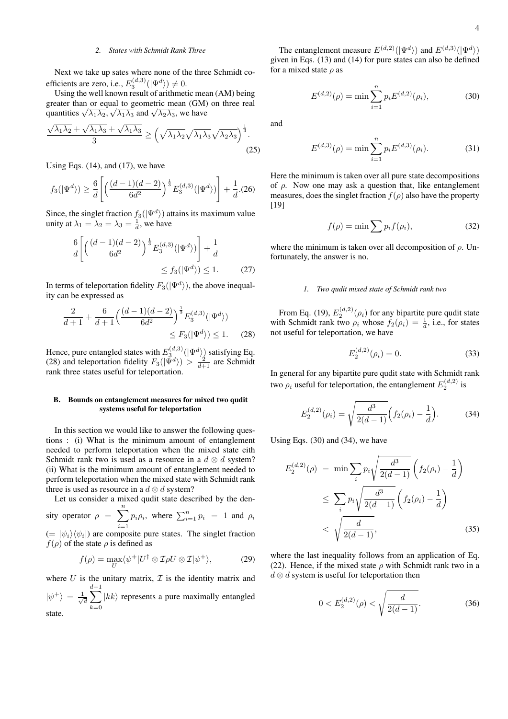## *2. States with Schmidt Rank Three*

Next we take up sates where none of the three Schmidt coefficients are zero, i.e.,  $E_3^{(d,3)}(|\Psi^d\rangle) \neq 0$ .

Using the well known result of arithmetic mean (AM) being greater than or equal to geometric mean (GM) on three real quantities  $\sqrt{\lambda_1 \lambda_2}$ ,  $\sqrt{\lambda_1 \lambda_3}$  and  $\sqrt{\lambda_2 \lambda_3}$ , we have

$$
\frac{\sqrt{\lambda_1\lambda_2} + \sqrt{\lambda_1\lambda_3} + \sqrt{\lambda_1\lambda_3}}{3} \ge \left(\sqrt{\lambda_1\lambda_2}\sqrt{\lambda_1\lambda_3}\sqrt{\lambda_2\lambda_3}\right)^{\frac{1}{3}}.\tag{25}
$$

Using Eqs.  $(14)$ , and  $(17)$ , we have

$$
f_3(\left|\Psi^d\right\rangle) \ge \frac{6}{d} \left[ \left( \frac{(d-1)(d-2)}{6d^2} \right)^{\frac{1}{3}} E_3^{(d,3)}(\left|\Psi^d\right\rangle) \right] + \frac{1}{d}. (26)
$$

Since, the singlet fraction  $f_3(|\Psi^d\rangle)$  attains its maximum value unity at  $\lambda_1 = \lambda_2 = \lambda_3 = \frac{1}{d}$ , we have

$$
\frac{6}{d} \left[ \left( \frac{(d-1)(d-2)}{6d^2} \right)^{\frac{1}{3}} E_3^{(d,3)}(|\Psi^d\rangle) \right] + \frac{1}{d}
$$
  
\$\leq f\_3(|\Psi^d\rangle) \leq 1. \qquad (27)\$

In terms of teleportation fidelity  $F_3(|\Psi^d\rangle)$ , the above inequality can be expressed as

$$
\frac{2}{d+1} + \frac{6}{d+1} \left( \frac{(d-1)(d-2)}{6d^2} \right)^{\frac{1}{3}} E_3^{(d,3)}(|\Psi^d\rangle) \le 1. \tag{28}
$$

Hence, pure entangled states with  $E_3^{(d,3)}(|\Psi^d\rangle)$  satisfying Eq. (28) and teleportation fidelity  $F_3(\vert \Psi^d \rangle) > \frac{2}{d+1}$  are Schmidt rank three states useful for teleportation.

## B. Bounds on entanglement measures for mixed two qudit systems useful for teleportation

In this section we would like to answer the following questions : (i) What is the minimum amount of entanglement needed to perform teleportation when the mixed state eith Schmidt rank two is used as a resource in a  $d \otimes d$  system? (ii) What is the minimum amount of entanglement needed to perform teleportation when the mixed state with Schmidt rank three is used as resource in a  $d \otimes d$  system?

Let us consider a mixed qudit state described by the density operator  $\rho = \sum_{n=1}^{\infty}$  $i=1$  $p_i \rho_i$ , where  $\sum_{i=1}^n p_i = 1$  and  $\rho_i$ 

 $(= |\psi_i\rangle \langle \psi_i|)$  are composite pure states. The singlet fraction  $f(\rho)$  of the state  $\rho$  is defined as

$$
f(\rho) = \max_{U} \langle \psi^{+} | U^{\dagger} \otimes \mathcal{I} \rho U \otimes \mathcal{I} | \psi^{+} \rangle, \tag{29}
$$

where  $U$  is the unitary matrix,  $\mathcal I$  is the identity matrix and  $|\psi^+\rangle = \frac{1}{\sqrt{2}}$  $\frac{1}{d}\sum$  $\frac{d-1}{2}$  $k=0$  $|kk\rangle$  represents a pure maximally entangled state.

The entanglement measure  $E^{(d,2)}(|\Psi^d\rangle)$  and  $E^{(d,3)}(|\Psi^d\rangle)$ given in Eqs. (13) and (14) for pure states can also be defined for a mixed state  $\rho$  as

$$
E^{(d,2)}(\rho) = \min \sum_{i=1}^{n} p_i E^{(d,2)}(\rho_i),
$$
 (30)

and

$$
E^{(d,3)}(\rho) = \min \sum_{i=1}^{n} p_i E^{(d,3)}(\rho_i).
$$
 (31)

Here the minimum is taken over all pure state decompositions of  $\rho$ . Now one may ask a question that, like entanglement measures, does the singlet fraction  $f(\rho)$  also have the property [19]

$$
f(\rho) = \min \sum p_i f(\rho_i), \tag{32}
$$

where the minimum is taken over all decomposition of  $\rho$ . Unfortunately, the answer is no.

#### *1. Two qudit mixed state of Schmidt rank two*

From Eq. (19),  $E_2^{(d,2)}(\rho_i)$  for any bipartite pure qudit state with Schmidt rank two  $\rho_i$  whose  $f_2(\rho_i) = \frac{1}{d}$ , i.e., for states not useful for teleportation, we have

$$
E_2^{(d,2)}(\rho_i) = 0.
$$
 (33)

In general for any bipartite pure qudit state with Schmidt rank two  $\rho_i$  useful for teleportation, the entanglement  $E_2^{(d,2)}$  is

$$
E_2^{(d,2)}(\rho_i) = \sqrt{\frac{d^3}{2(d-1)}} \Big( f_2(\rho_i) - \frac{1}{d} \Big). \tag{34}
$$

Using Eqs. (30) and (34), we have

$$
E_2^{(d,2)}(\rho) = \min \sum_i p_i \sqrt{\frac{d^3}{2(d-1)}} \left( f_2(\rho_i) - \frac{1}{d} \right)
$$
  
 
$$
\leq \sum_i p_i \sqrt{\frac{d^3}{2(d-1)}} \left( f_2(\rho_i) - \frac{1}{d} \right)
$$
  
 
$$
< \sqrt{\frac{d}{2(d-1)}}, \tag{35}
$$

where the last inequality follows from an application of Eq. (22). Hence, if the mixed state  $\rho$  with Schmidt rank two in a  $d \otimes d$  system is useful for teleportation then

$$
0 < E_2^{(d,2)}(\rho) < \sqrt{\frac{d}{2(d-1)}}.\tag{36}
$$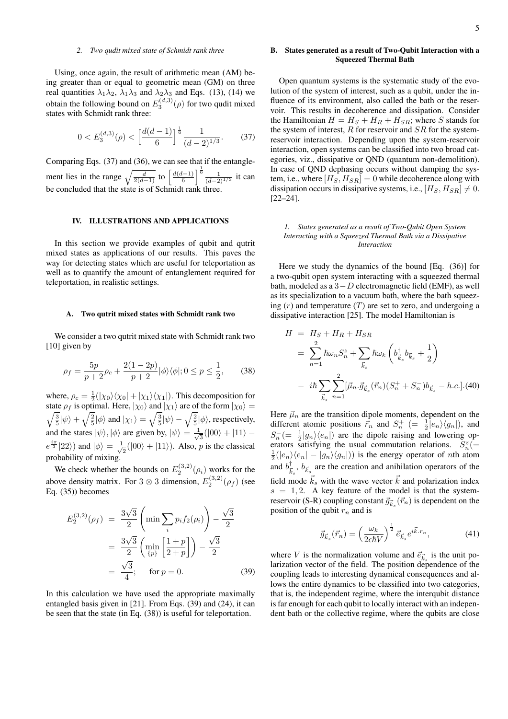# *2. Two qudit mixed state of Schmidt rank three*

Using, once again, the result of arithmetic mean (AM) being greater than or equal to geometric mean (GM) on three real quantities  $\lambda_1 \lambda_2$ ,  $\lambda_1 \lambda_3$  and  $\lambda_2 \lambda_3$  and Eqs. (13), (14) we obtain the following bound on  $E_3^{(d,3)}(\rho)$  for two qudit mixed states with Schmidt rank three:

$$
0 < E_3^{(d,3)}(\rho) < \left[\frac{d(d-1)}{6}\right]^{\frac{1}{6}} \frac{1}{(d-2)^{1/3}}.\tag{37}
$$

Comparing Eqs. (37) and (36), we can see that if the entanglement lies in the range  $\sqrt{\frac{d}{2(d-1)}}$  to  $\left[\frac{d(d-1)}{6}\right]^{\frac{1}{6}} \frac{1}{(d-2)}$  $\frac{1}{(d-2)^{1/3}}$  it can be concluded that the state is of Schmidt rank three.

# IV. ILLUSTRATIONS AND APPLICATIONS

In this section we provide examples of qubit and qutrit mixed states as applications of our results. This paves the way for detecting states which are useful for teleportation as well as to quantify the amount of entanglement required for teleportation, in realistic settings.

## A. Two qutrit mixed states with Schmidt rank two

We consider a two qutrit mixed state with Schmidt rank two [10] given by

$$
\rho_f = \frac{5p}{p+2}\rho_c + \frac{2(1-2p)}{p+2}|\phi\rangle\langle\phi|; 0 \le p \le \frac{1}{2},\qquad(38)
$$

where,  $\rho_c = \frac{1}{2} (|\chi_0\rangle \langle \chi_0| + |\chi_1\rangle \langle \chi_1|)$ . This decomposition for  $\sqrt{\frac{3}{5}}|\psi\rangle + \sqrt{\frac{2}{5}}|\phi\rangle$  and  $|\chi_1\rangle = \sqrt{\frac{3}{5}}|\psi\rangle - \sqrt{\frac{2}{5}}|\phi\rangle$ , respectively, state  $\rho_f$  is optimal. Here,  $|\chi_0\rangle$  and  $|\chi_1\rangle$  are of the form  $|\chi_0\rangle$  = and the states  $|\psi\rangle, |\phi\rangle$  are given by,  $|\psi\rangle = \frac{1}{\sqrt{\pi}}$  $\frac{1}{3}(|00\rangle + |11\rangle$  $e^{\frac{i\pi}{3}}|22\rangle)$  and  $|\phi\rangle = \frac{1}{\sqrt{3}}$  $\frac{1}{2}(|00\rangle + |11\rangle)$ . Also, *p* is the classical probability of mixing.

We check whether the bounds on  $E_2^{(3,2)}(\rho_i)$  works for the above density matrix. For 3  $\otimes$  3 dimension,  $E_2^{(3,2)}(\rho_f)$  (see Eq. (35)) becomes

$$
E_2^{(3,2)}(\rho_f) = \frac{3\sqrt{3}}{2} \left( \min \sum_i p_i f_2(\rho_i) \right) - \frac{\sqrt{3}}{2}
$$
  
=  $\frac{3\sqrt{3}}{2} \left( \min_{\{p\}} \left[ \frac{1+p}{2+p} \right] \right) - \frac{\sqrt{3}}{2}$   
=  $\frac{\sqrt{3}}{4}$ ; for  $p = 0$ . (39)

In this calculation we have used the appropriate maximally entangled basis given in [21]. From Eqs. (39) and (24), it can be seen that the state (in Eq. (38)) is useful for teleportation.

# B. States generated as a result of Two-Qubit Interaction with a Squeezed Thermal Bath

Open quantum systems is the systematic study of the evolution of the system of interest, such as a qubit, under the influence of its environment, also called the bath or the reservoir. This results in decoherence and dissipation. Consider the Hamiltonian  $H = H_S + H_R + H_{SR}$ ; where S stands for the system of interest,  $R$  for reservoir and  $SR$  for the systemreservoir interaction. Depending upon the system-reservoir interaction, open systems can be classified into two broad categories, viz., dissipative or QND (quantum non-demolition). In case of QND dephasing occurs without damping the system, i.e., where  $[H_S, H_{SR}] = 0$  while decoherence along with dissipation occurs in dissipative systems, i.e.,  $[H_S, H_{SR}] \neq 0$ . [22–24].

### *1. States generated as a result of Two-Qubit Open System Interacting with a Squeezed Thermal Bath via a Dissipative Interaction*

Here we study the dynamics of the bound [Eq. (36)] for a two-qubit open system interacting with a squeezed thermal bath, modeled as a  $3-D$  electromagnetic field (EMF), as well as its specialization to a vacuum bath, where the bath squeezing  $(r)$  and temperature  $(T)$  are set to zero, and undergoing a dissipative interaction [25]. The model Hamiltonian is

$$
H = H_S + H_R + H_{SR}
$$
  
=  $\sum_{n=1}^{2} \hbar \omega_n S_n^z + \sum_{\vec{k}_s} \hbar \omega_k \left( b_{\vec{k}_s}^{\dagger} b_{\vec{k}_s} + \frac{1}{2} \right)$   
-  $i\hbar \sum_{\vec{k}_s} \sum_{n=1}^{2} [\vec{\mu}_n \cdot \vec{g}_{\vec{k}_s}(\vec{r}_n)(S_n^+ + S_n^-) b_{\vec{k}_s} - h.c.].(40)$ 

Here  $\vec{\mu}_n$  are the transition dipole moments, dependent on the different atomic positions  $\vec{r}_n$  and  $S_n^+$  (=  $\frac{1}{2}|e_n\rangle\langle g_n|$ ), and and  $S_n^- (=\frac{1}{2} |g_n\rangle\langle e_n|)$  are the dipole raising and lowering operators satisfying the usual commutation relations.  $S_n^z$  (=  $\frac{1}{2}(|e_n\rangle\langle e_n| - |g_n\rangle\langle g_n|)$  is the energy operator of nth atom and  $b_{\vec{k}_s}^{\dagger}$ ,  $b_{\vec{k}_s}$  are the creation and anihilation operators of the field mode  $\vec{k}_s$  with the wave vector  $\vec{k}$  and polarization index  $s = 1, 2$ . A key feature of the model is that the systemreservoir (S-R) coupling constant  $\vec{g}_{\vec{k}_s}(\vec{r}_n)$  is dependent on the position of the qubit  $r_n$  and is

$$
\vec{g}_{\vec{k}_s}(\vec{r}_n) = \left(\frac{\omega_k}{2\epsilon\hbar V}\right)^{\frac{1}{2}} \vec{e}_{\vec{k}_s} e^{i\vec{k}\cdot\vec{r}_n},\tag{41}
$$

where V is the normalization volume and  $\vec{e}_{\vec{k}_s}$  is the unit polarization vector of the field. The position dependence of the coupling leads to interesting dynamical consequences and allows the entire dynamics to be classified into two categories, that is, the independent regime, where the interqubit distance is far enough for each qubit to locally interact with an independent bath or the collective regime, where the qubits are close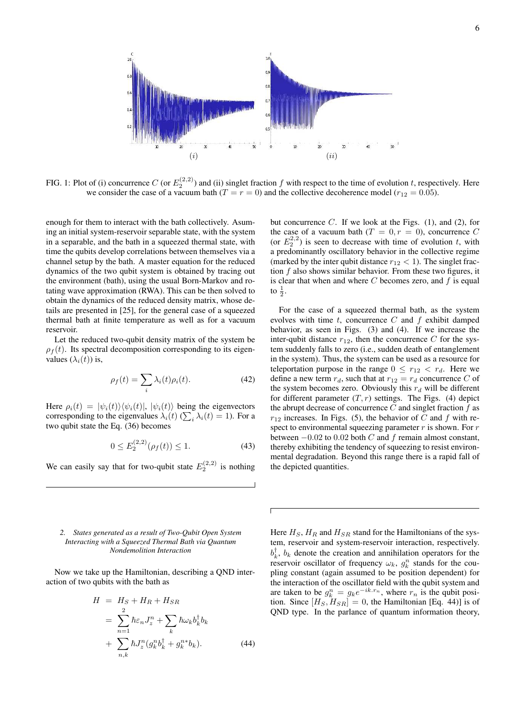

FIG. 1: Plot of (i) concurrence C (or  $E_2^{(2,2)}$ ) and (ii) singlet fraction f with respect to the time of evolution t, respectively. Here we consider the case of a vacuum bath  $(T = r = 0)$  and the collective decoherence model  $(r_{12} = 0.05)$ .

enough for them to interact with the bath collectively. Asuming an initial system-reservoir separable state, with the system in a separable, and the bath in a squeezed thermal state, with time the qubits develop correlations between themselves via a channel setup by the bath. A master equation for the reduced dynamics of the two qubit system is obtained by tracing out the environment (bath), using the usual Born-Markov and rotating wave approximation (RWA). This can be then solved to obtain the dynamics of the reduced density matrix, whose details are presented in [25], for the general case of a squeezed thermal bath at finite temperature as well as for a vacuum reservoir.

Let the reduced two-qubit density matrix of the system be  $\rho_f(t)$ . Its spectral decomposition corresponding to its eigenvalues  $(\lambda_i(t))$  is,

$$
\rho_f(t) = \sum_i \lambda_i(t) \rho_i(t). \tag{42}
$$

Here  $\rho_i(t) = |\psi_i(t)\rangle \langle \psi_i(t)|, |\psi_i(t)\rangle$  being the eigenvectors corresponding to the eigenvalues  $\lambda_i(t)$  ( $\sum_i \lambda_i(t) = 1$ ). For a two qubit state the Eq. (36) becomes

$$
0 \le E_2^{(2,2)}(\rho_f(t)) \le 1. \tag{43}
$$

We can easily say that for two-qubit state  $E_2^{(2,2)}$  is nothing

## *2. States generated as a result of Two-Qubit Open System Interacting with a Squeezed Thermal Bath via Quantum Nondemolition Interaction*

Now we take up the Hamiltonian, describing a QND interaction of two qubits with the bath as

$$
H = HS + HR + HSR
$$
  
= 
$$
\sum_{n=1}^{2} \hbar \varepsilon_n J_z^n + \sum_k \hbar \omega_k b_k^{\dagger} b_k
$$
  
+ 
$$
\sum_{n,k} \hbar J_z^n (g_k^n b_k^{\dagger} + g_k^{n*} b_k).
$$
 (44)

but concurrence  $C$ . If we look at the Figs. (1), and (2), for the case of a vacuum bath  $(T = 0, r = 0)$ , concurrence C (or  $E_2^{2,2}$ ) is seen to decrease with time of evolution t, with a predominantly oscillatory behavior in the collective regime (marked by the inter qubit distance  $r_{12} < 1$ ). The singlet fraction  $f$  also shows similar behavior. From these two figures, it is clear that when and where  $C$  becomes zero, and  $f$  is equal to  $\frac{1}{2}$ .

For the case of a squeezed thermal bath, as the system evolves with time  $t$ , concurrence  $C$  and  $f$  exhibit damped behavior, as seen in Figs. (3) and (4). If we increase the inter-qubit distance  $r_{12}$ , then the concurrence C for the system suddenly falls to zero (i.e., sudden death of entanglement in the system). Thus, the system can be used as a resource for teleportation purpose in the range  $0 \leq r_{12} < r_d$ . Here we define a new term  $r_d$ , such that at  $r_{12} = r_d$  concurrence C of the system becomes zero. Obviously this  $r_d$  will be different for different parameter  $(T, r)$  settings. The Figs. (4) depict the abrupt decrease of concurrence  $C$  and singlet fraction  $f$  as  $r_{12}$  increases. In Figs. (5), the behavior of C and f with respect to environmental squeezing parameter  $r$  is shown. For  $r$ between  $-0.02$  to 0.02 both C and f remain almost constant, thereby exhibiting the tendency of squeezing to resist environmental degradation. Beyond this range there is a rapid fall of the depicted quantities.

Here  $H_S$ ,  $H_R$  and  $H_{SR}$  stand for the Hamiltonians of the system, reservoir and system-reservoir interaction, respectively.  $b_k^{\dagger}$ ,  $b_k$  denote the creation and annihilation operators for the reservoir oscillator of frequency  $\omega_k$ ,  $g_k^n$  stands for the coupling constant (again assumed to be position dependent) for the interaction of the oscillator field with the qubit system and are taken to be  $g_k^n = g_k e^{-ik \cdot r_n}$ , where  $r_n$  is the qubit position. Since  $[H_S, H_{SR}] = 0$ , the Hamiltonian [Eq. 44)] is of QND type. In the parlance of quantum information theory,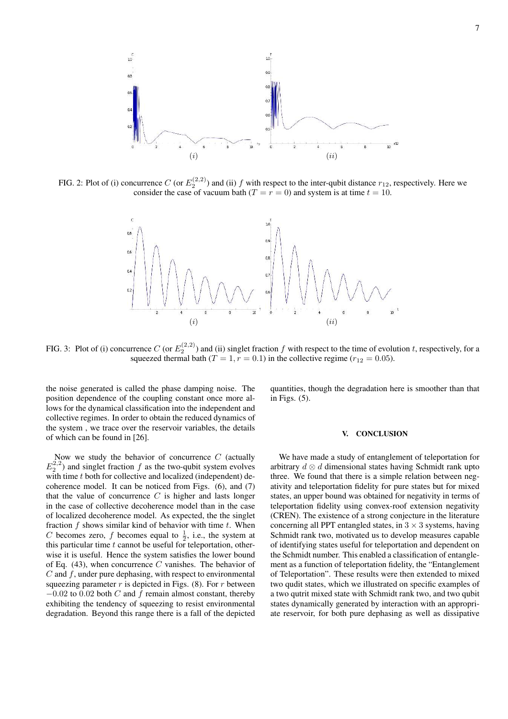

FIG. 2: Plot of (i) concurrence C (or  $E_2^{(2,2)}$ ) and (ii) f with respect to the inter-qubit distance  $r_{12}$ , respectively. Here we consider the case of vacuum bath ( $T = r = 0$ ) and system is at time  $t = 10$ .



FIG. 3: Plot of (i) concurrence C (or  $E_2^{(2,2)}$ ) and (ii) singlet fraction f with respect to the time of evolution t, respectively, for a squeezed thermal bath ( $T = 1, r = 0.1$ ) in the collective regime ( $r_{12} = 0.05$ ).

the noise generated is called the phase damping noise. The position dependence of the coupling constant once more allows for the dynamical classification into the independent and collective regimes. In order to obtain the reduced dynamics of the system , we trace over the reservoir variables, the details of which can be found in [26].

Now we study the behavior of concurrence  $C$  (actually  $E_2^{2,2}$ ) and singlet fraction f as the two-qubit system evolves with time t both for collective and localized (independent) decoherence model. It can be noticed from Figs. (6), and (7) that the value of concurrence  $C$  is higher and lasts longer in the case of collective decoherence model than in the case of localized decoherence model. As expected, the the singlet fraction  $f$  shows similar kind of behavior with time  $t$ . When C becomes zero, f becomes equal to  $\frac{1}{2}$ , i.e., the system at this particular time  $t$  cannot be useful for teleportation, otherwise it is useful. Hence the system satisfies the lower bound of Eq. (43), when concurrence  $C$  vanishes. The behavior of  $C$  and  $f$ , under pure dephasing, with respect to environmental squeezing parameter  $r$  is depicted in Figs. (8). For  $r$  between  $-0.02$  to 0.02 both C and f remain almost constant, thereby exhibiting the tendency of squeezing to resist environmental degradation. Beyond this range there is a fall of the depicted quantities, though the degradation here is smoother than that in Figs. (5).

### V. CONCLUSION

We have made a study of entanglement of teleportation for arbitrary  $d \otimes d$  dimensional states having Schmidt rank upto three. We found that there is a simple relation between negativity and teleportation fidelity for pure states but for mixed states, an upper bound was obtained for negativity in terms of teleportation fidelity using convex-roof extension negativity (CREN). The existence of a strong conjecture in the literature concerning all PPT entangled states, in  $3 \times 3$  systems, having Schmidt rank two, motivated us to develop measures capable of identifying states useful for teleportation and dependent on the Schmidt number. This enabled a classification of entanglement as a function of teleportation fidelity, the "Entanglement of Teleportation". These results were then extended to mixed two qudit states, which we illustrated on specific examples of a two qutrit mixed state with Schmidt rank two, and two qubit states dynamically generated by interaction with an appropriate reservoir, for both pure dephasing as well as dissipative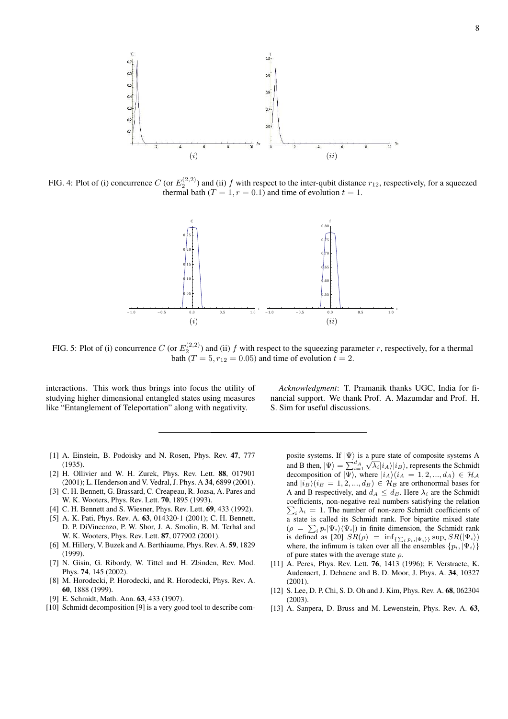

FIG. 4: Plot of (i) concurrence C (or  $E_2^{(2,2)}$ ) and (ii) f with respect to the inter-qubit distance  $r_{12}$ , respectively, for a squeezed thermal bath  $(T = 1, r = 0.1)$  and time of evolution  $t = 1$ .



FIG. 5: Plot of (i) concurrence C (or  $E_2^{(2,2)}$ ) and (ii) f with respect to the squeezing parameter r, respectively, for a thermal bath ( $T = 5, r_{12} = 0.05$ ) and time of evolution  $t = 2$ .

interactions. This work thus brings into focus the utility of studying higher dimensional entangled states using measures like "Entanglement of Teleportation" along with negativity.

*Acknowledgment*: T. Pramanik thanks UGC, India for financial support. We thank Prof. A. Mazumdar and Prof. H. S. Sim for useful discussions.

- [1] A. Einstein, B. Podoisky and N. Rosen, Phys. Rev. 47, 777 (1935).
- [2] H. Ollivier and W. H. Zurek, Phys. Rev. Lett. 88, 017901 (2001); L. Henderson and V. Vedral, J. Phys. A 34, 6899 (2001).
- [3] C. H. Bennett, G. Brassard, C. Creapeau, R. Jozsa, A. Pares and W. K. Wooters, Phys. Rev. Lett. 70, 1895 (1993).
- [4] C. H. Bennett and S. Wiesner, Phys. Rev. Lett. **69**, 433 (1992).
- [5] A. K. Pati, Phys. Rev. A. **63**, 014320-1 (2001); C. H. Bennett, D. P. DiVincenzo, P. W. Shor, J. A. Smolin, B. M. Terhal and W. K. Wooters, Phys. Rev. Lett. 87, 077902 (2001).
- [6] M. Hillery, V. Buzek and A. Berthiaume, Phys. Rev. A. 59, 1829 (1999).
- [7] N. Gisin, G. Ribordy, W. Tittel and H. Zbinden, Rev. Mod. Phys. 74, 145 (2002).
- [8] M. Horodecki, P. Horodecki, and R. Horodecki, Phys. Rev. A. 60, 1888 (1999).
- [9] E. Schmidt, Math. Ann. 63, 433 (1907).
- [10] Schmidt decomposition [9] is a very good tool to describe com-

posite systems. If  $|\Psi\rangle$  is a pure state of composite systems A and B then,  $|\Psi\rangle = \sum_{i=1}^{d} \sqrt{\lambda_i} |i_A\rangle |i_B\rangle$ , represents the Schmidt decomposition of  $|\Psi\rangle$ , where  $|i_A\rangle(i_A = 1, 2, ..., d_A) \in \mathcal{H}_{\mathcal{A}}$ and  $|i_B\rangle(i_B = 1, 2, ..., d_B) \in \mathcal{H}_{\mathcal{B}}$  are orthonormal bases for A and B respectively, and  $d_A \leq d_B$ . Here  $\lambda_i$  are the Schmidt coefficients, non-negative real numbers satisfying the relation  $\sum_i \lambda_i = 1$ . The number of non-zero Schmidt coefficients of a state is called its Schmidt rank. For bipartite mixed state  $(\rho = \sum_i p_i |\Psi_i\rangle\langle\Psi_i|)$  in finite dimension, the Schmidt rank is defined as [20]  $SR(\rho) = \inf_{\{\sum_i p_i, |\Psi_i\rangle\}} \sup_i SR(\vert \Psi_i \rangle)$ where, the infimum is taken over all the ensembles  $\{p_i, |\Psi_i\rangle\}$ of pure states with the average state  $\rho$ .

- [11] A. Peres, Phys. Rev. Lett. 76, 1413 (1996); F. Verstraete, K. Audenaert, J. Dehaene and B. D. Moor, J. Phys. A. 34, 10327 (2001).
- [12] S. Lee, D. P. Chi, S. D. Oh and J. Kim, Phys. Rev. A. 68, 062304 (2003).
- [13] A. Sanpera, D. Bruss and M. Lewenstein, Phys. Rev. A. 63,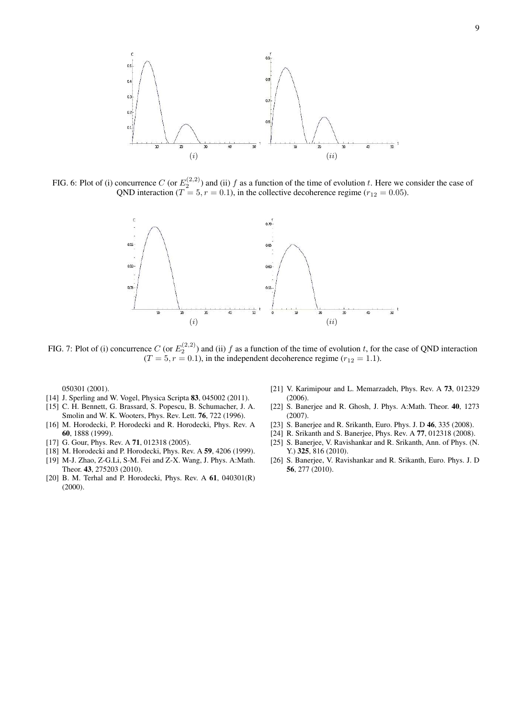

FIG. 6: Plot of (i) concurrence C (or  $E_2^{(2,2)}$ ) and (ii) f as a function of the time of evolution t. Here we consider the case of QND interaction ( $T = 5, r = 0.1$ ), in the collective decoherence regime ( $r_{12} = 0.05$ ).



FIG. 7: Plot of (i) concurrence C (or  $E_2^{(2,2)}$ ) and (ii) f as a function of the time of evolution t, for the case of QND interaction  $(T = 5, r = 0.1)$ , in the independent decoherence regime  $(r_{12} = 1.1)$ .

050301 (2001).

- [14] J. Sperling and W. Vogel, Physica Scripta 83, 045002 (2011).
- [15] C. H. Bennett, G. Brassard, S. Popescu, B. Schumacher, J. A. Smolin and W. K. Wooters, Phys. Rev. Lett. 76, 722 (1996).
- [16] M. Horodecki, P. Horodecki and R. Horodecki, Phys. Rev. A 60, 1888 (1999).
- [17] G. Gour, Phys. Rev. A **71**, 012318 (2005).
- [18] M. Horodecki and P. Horodecki, Phys. Rev. A 59, 4206 (1999).
- [19] M-J. Zhao, Z-G.Li, S-M. Fei and Z-X. Wang, J. Phys. A:Math. Theor. 43, 275203 (2010).
- [20] B. M. Terhal and P. Horodecki, Phys. Rev. A 61, 040301(R) (2000).
- [21] V. Karimipour and L. Memarzadeh, Phys. Rev. A 73, 012329 (2006).
- [22] S. Banerjee and R. Ghosh, J. Phys. A:Math. Theor. 40, 1273 (2007).
- [23] S. Banerjee and R. Srikanth, Euro. Phys. J. D 46, 335 (2008).
- [24] R. Srikanth and S. Banerjee, Phys. Rev. A 77, 012318 (2008).
- [25] S. Banerjee, V. Ravishankar and R. Srikanth, Ann. of Phys. (N. Y.) 325, 816 (2010).
- [26] S. Banerjee, V. Ravishankar and R. Srikanth, Euro. Phys. J. D 56, 277 (2010).